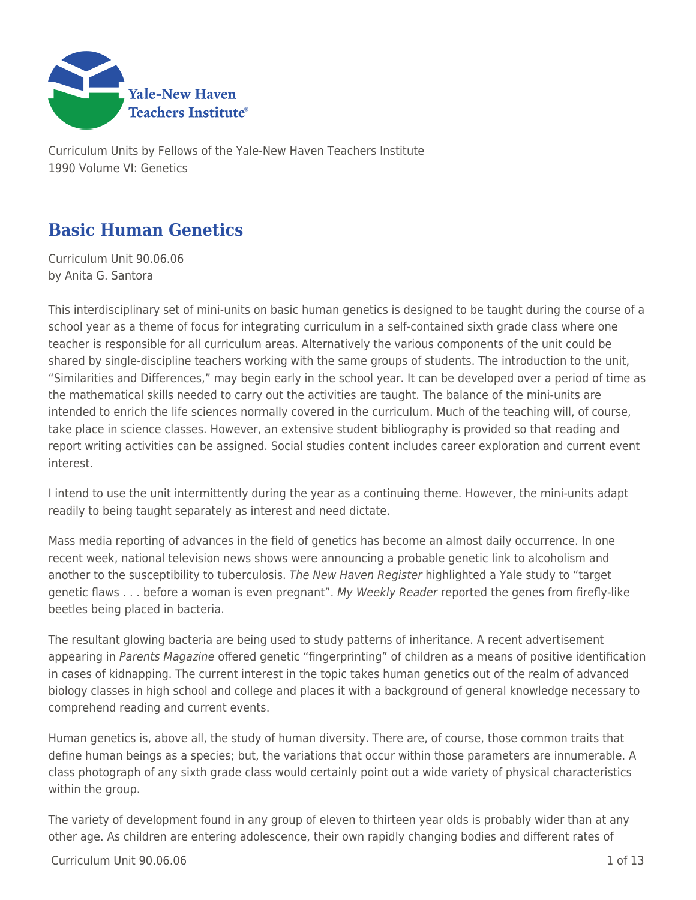

Curriculum Units by Fellows of the Yale-New Haven Teachers Institute 1990 Volume VI: Genetics

# **Basic Human Genetics**

Curriculum Unit 90.06.06 by Anita G. Santora

This interdisciplinary set of mini-units on basic human genetics is designed to be taught during the course of a school year as a theme of focus for integrating curriculum in a self-contained sixth grade class where one teacher is responsible for all curriculum areas. Alternatively the various components of the unit could be shared by single-discipline teachers working with the same groups of students. The introduction to the unit, "Similarities and Differences," may begin early in the school year. It can be developed over a period of time as the mathematical skills needed to carry out the activities are taught. The balance of the mini-units are intended to enrich the life sciences normally covered in the curriculum. Much of the teaching will, of course, take place in science classes. However, an extensive student bibliography is provided so that reading and report writing activities can be assigned. Social studies content includes career exploration and current event interest.

I intend to use the unit intermittently during the year as a continuing theme. However, the mini-units adapt readily to being taught separately as interest and need dictate.

Mass media reporting of advances in the field of genetics has become an almost daily occurrence. In one recent week, national television news shows were announcing a probable genetic link to alcoholism and another to the susceptibility to tuberculosis. The New Haven Register highlighted a Yale study to "target genetic flaws . . . before a woman is even pregnant". My Weekly Reader reported the genes from firefly-like beetles being placed in bacteria.

The resultant glowing bacteria are being used to study patterns of inheritance. A recent advertisement appearing in Parents Magazine offered genetic "fingerprinting" of children as a means of positive identification in cases of kidnapping. The current interest in the topic takes human genetics out of the realm of advanced biology classes in high school and college and places it with a background of general knowledge necessary to comprehend reading and current events.

Human genetics is, above all, the study of human diversity. There are, of course, those common traits that define human beings as a species; but, the variations that occur within those parameters are innumerable. A class photograph of any sixth grade class would certainly point out a wide variety of physical characteristics within the group.

The variety of development found in any group of eleven to thirteen year olds is probably wider than at any other age. As children are entering adolescence, their own rapidly changing bodies and different rates of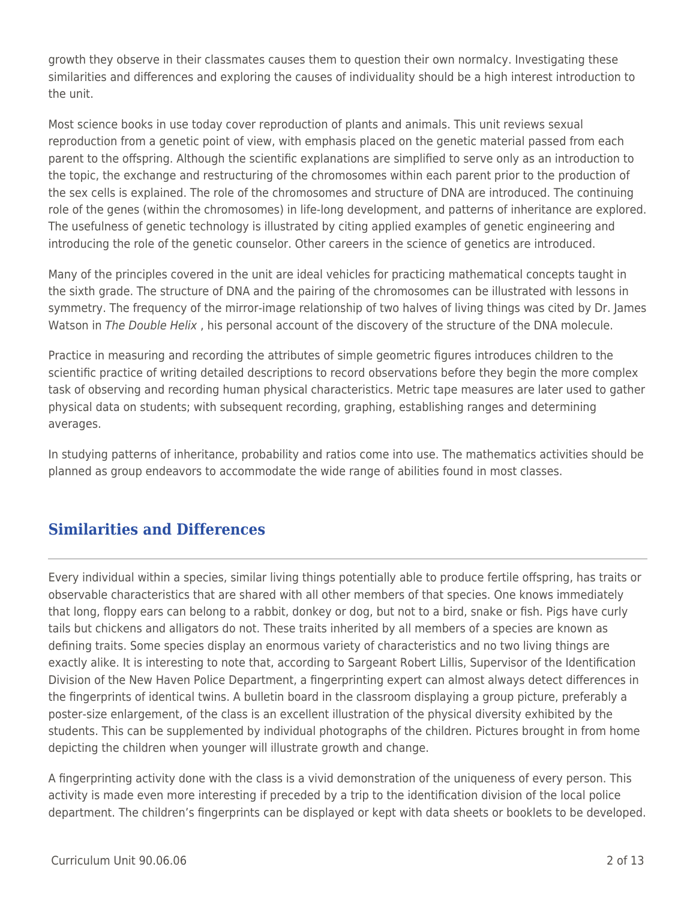growth they observe in their classmates causes them to question their own normalcy. Investigating these similarities and differences and exploring the causes of individuality should be a high interest introduction to the unit.

Most science books in use today cover reproduction of plants and animals. This unit reviews sexual reproduction from a genetic point of view, with emphasis placed on the genetic material passed from each parent to the offspring. Although the scientific explanations are simplified to serve only as an introduction to the topic, the exchange and restructuring of the chromosomes within each parent prior to the production of the sex cells is explained. The role of the chromosomes and structure of DNA are introduced. The continuing role of the genes (within the chromosomes) in life-long development, and patterns of inheritance are explored. The usefulness of genetic technology is illustrated by citing applied examples of genetic engineering and introducing the role of the genetic counselor. Other careers in the science of genetics are introduced.

Many of the principles covered in the unit are ideal vehicles for practicing mathematical concepts taught in the sixth grade. The structure of DNA and the pairing of the chromosomes can be illustrated with lessons in symmetry. The frequency of the mirror-image relationship of two halves of living things was cited by Dr. James Watson in The Double Helix, his personal account of the discovery of the structure of the DNA molecule.

Practice in measuring and recording the attributes of simple geometric figures introduces children to the scientific practice of writing detailed descriptions to record observations before they begin the more complex task of observing and recording human physical characteristics. Metric tape measures are later used to gather physical data on students; with subsequent recording, graphing, establishing ranges and determining averages.

In studying patterns of inheritance, probability and ratios come into use. The mathematics activities should be planned as group endeavors to accommodate the wide range of abilities found in most classes.

# **Similarities and Differences**

Every individual within a species, similar living things potentially able to produce fertile offspring, has traits or observable characteristics that are shared with all other members of that species. One knows immediately that long, floppy ears can belong to a rabbit, donkey or dog, but not to a bird, snake or fish. Pigs have curly tails but chickens and alligators do not. These traits inherited by all members of a species are known as defining traits. Some species display an enormous variety of characteristics and no two living things are exactly alike. It is interesting to note that, according to Sargeant Robert Lillis, Supervisor of the Identification Division of the New Haven Police Department, a fingerprinting expert can almost always detect differences in the fingerprints of identical twins. A bulletin board in the classroom displaying a group picture, preferably a poster-size enlargement, of the class is an excellent illustration of the physical diversity exhibited by the students. This can be supplemented by individual photographs of the children. Pictures brought in from home depicting the children when younger will illustrate growth and change.

A fingerprinting activity done with the class is a vivid demonstration of the uniqueness of every person. This activity is made even more interesting if preceded by a trip to the identification division of the local police department. The children's fingerprints can be displayed or kept with data sheets or booklets to be developed.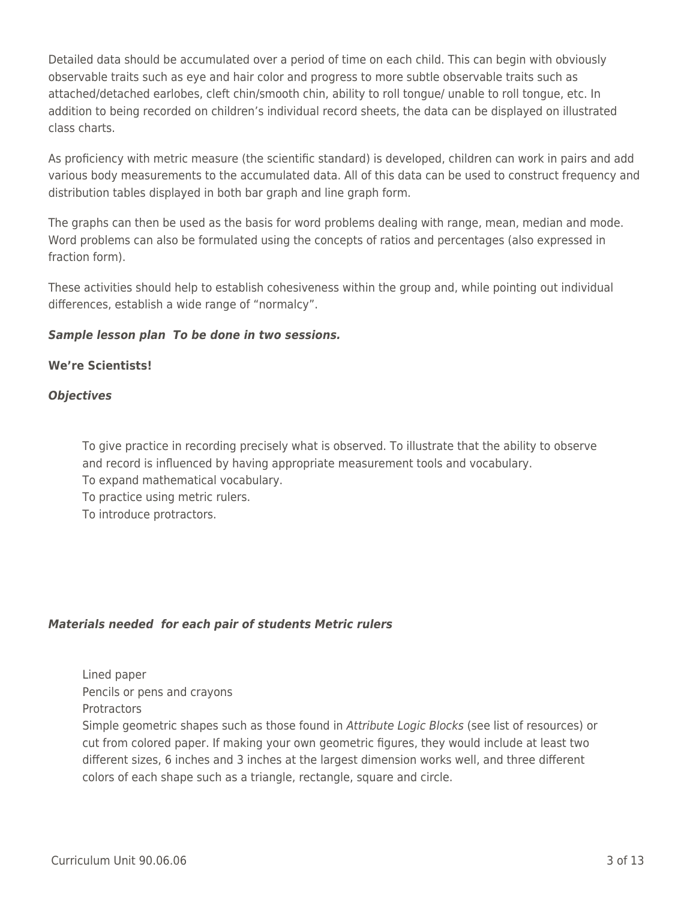Detailed data should be accumulated over a period of time on each child. This can begin with obviously observable traits such as eye and hair color and progress to more subtle observable traits such as attached/detached earlobes, cleft chin/smooth chin, ability to roll tongue/ unable to roll tongue, etc. In addition to being recorded on children's individual record sheets, the data can be displayed on illustrated class charts.

As proficiency with metric measure (the scientific standard) is developed, children can work in pairs and add various body measurements to the accumulated data. All of this data can be used to construct frequency and distribution tables displayed in both bar graph and line graph form.

The graphs can then be used as the basis for word problems dealing with range, mean, median and mode. Word problems can also be formulated using the concepts of ratios and percentages (also expressed in fraction form).

These activities should help to establish cohesiveness within the group and, while pointing out individual differences, establish a wide range of "normalcy".

## *Sample lesson plan To be done in two sessions.*

## **We're Scientists!**

## *Objectives*

To give practice in recording precisely what is observed. To illustrate that the ability to observe and record is influenced by having appropriate measurement tools and vocabulary. To expand mathematical vocabulary.

To practice using metric rulers.

To introduce protractors.

## *Materials needed for each pair of students Metric rulers*

Lined paper Pencils or pens and crayons

**Protractors** 

Simple geometric shapes such as those found in Attribute Logic Blocks (see list of resources) or cut from colored paper. If making your own geometric figures, they would include at least two different sizes, 6 inches and 3 inches at the largest dimension works well, and three different colors of each shape such as a triangle, rectangle, square and circle.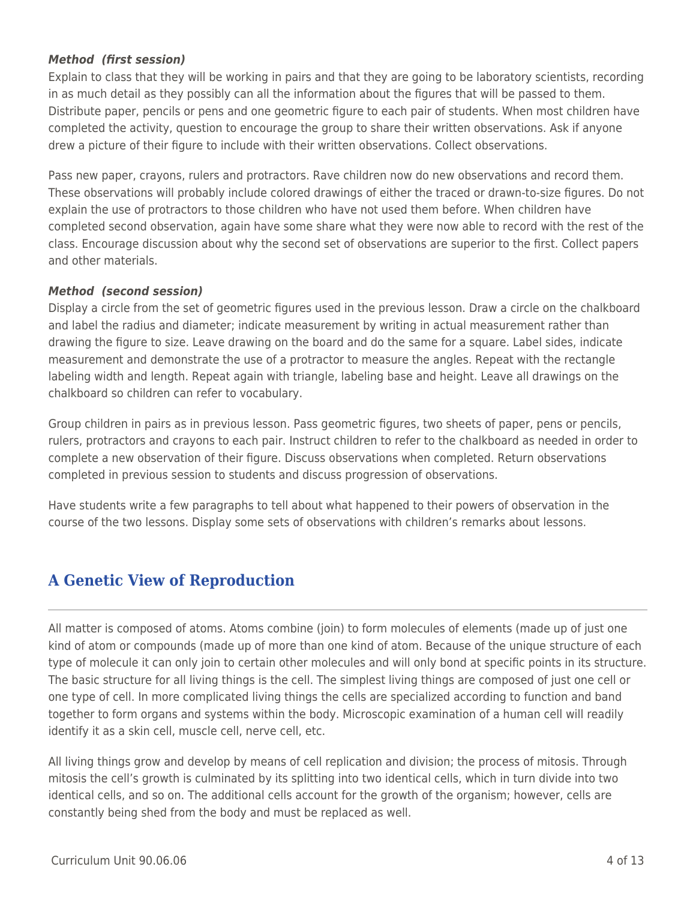#### *Method (first session)*

Explain to class that they will be working in pairs and that they are going to be laboratory scientists, recording in as much detail as they possibly can all the information about the figures that will be passed to them. Distribute paper, pencils or pens and one geometric figure to each pair of students. When most children have completed the activity, question to encourage the group to share their written observations. Ask if anyone drew a picture of their figure to include with their written observations. Collect observations.

Pass new paper, crayons, rulers and protractors. Rave children now do new observations and record them. These observations will probably include colored drawings of either the traced or drawn-to-size figures. Do not explain the use of protractors to those children who have not used them before. When children have completed second observation, again have some share what they were now able to record with the rest of the class. Encourage discussion about why the second set of observations are superior to the first. Collect papers and other materials.

#### *Method (second session)*

Display a circle from the set of geometric figures used in the previous lesson. Draw a circle on the chalkboard and label the radius and diameter; indicate measurement by writing in actual measurement rather than drawing the figure to size. Leave drawing on the board and do the same for a square. Label sides, indicate measurement and demonstrate the use of a protractor to measure the angles. Repeat with the rectangle labeling width and length. Repeat again with triangle, labeling base and height. Leave all drawings on the chalkboard so children can refer to vocabulary.

Group children in pairs as in previous lesson. Pass geometric figures, two sheets of paper, pens or pencils, rulers, protractors and crayons to each pair. Instruct children to refer to the chalkboard as needed in order to complete a new observation of their figure. Discuss observations when completed. Return observations completed in previous session to students and discuss progression of observations.

Have students write a few paragraphs to tell about what happened to their powers of observation in the course of the two lessons. Display some sets of observations with children's remarks about lessons.

## **A Genetic View of Reproduction**

All matter is composed of atoms. Atoms combine (join) to form molecules of elements (made up of just one kind of atom or compounds (made up of more than one kind of atom. Because of the unique structure of each type of molecule it can only join to certain other molecules and will only bond at specific points in its structure. The basic structure for all living things is the cell. The simplest living things are composed of just one cell or one type of cell. In more complicated living things the cells are specialized according to function and band together to form organs and systems within the body. Microscopic examination of a human cell will readily identify it as a skin cell, muscle cell, nerve cell, etc.

All living things grow and develop by means of cell replication and division; the process of mitosis. Through mitosis the cell's growth is culminated by its splitting into two identical cells, which in turn divide into two identical cells, and so on. The additional cells account for the growth of the organism; however, cells are constantly being shed from the body and must be replaced as well.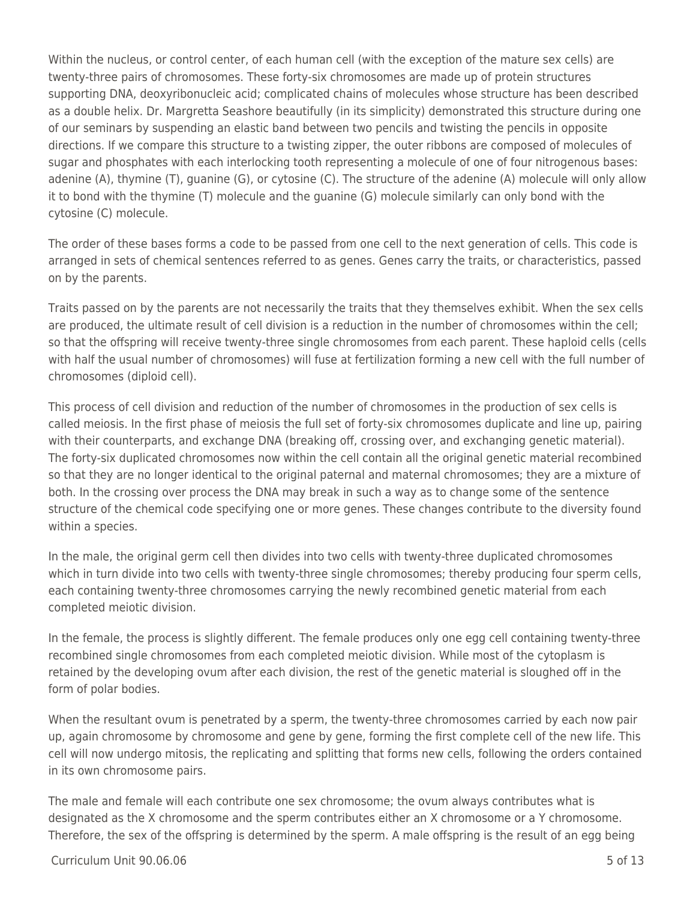Within the nucleus, or control center, of each human cell (with the exception of the mature sex cells) are twenty-three pairs of chromosomes. These forty-six chromosomes are made up of protein structures supporting DNA, deoxyribonucleic acid; complicated chains of molecules whose structure has been described as a double helix. Dr. Margretta Seashore beautifully (in its simplicity) demonstrated this structure during one of our seminars by suspending an elastic band between two pencils and twisting the pencils in opposite directions. If we compare this structure to a twisting zipper, the outer ribbons are composed of molecules of sugar and phosphates with each interlocking tooth representing a molecule of one of four nitrogenous bases: adenine (A), thymine (T), guanine (G), or cytosine (C). The structure of the adenine (A) molecule will only allow it to bond with the thymine (T) molecule and the guanine (G) molecule similarly can only bond with the cytosine (C) molecule.

The order of these bases forms a code to be passed from one cell to the next generation of cells. This code is arranged in sets of chemical sentences referred to as genes. Genes carry the traits, or characteristics, passed on by the parents.

Traits passed on by the parents are not necessarily the traits that they themselves exhibit. When the sex cells are produced, the ultimate result of cell division is a reduction in the number of chromosomes within the cell; so that the offspring will receive twenty-three single chromosomes from each parent. These haploid cells (cells with half the usual number of chromosomes) will fuse at fertilization forming a new cell with the full number of chromosomes (diploid cell).

This process of cell division and reduction of the number of chromosomes in the production of sex cells is called meiosis. In the first phase of meiosis the full set of forty-six chromosomes duplicate and line up, pairing with their counterparts, and exchange DNA (breaking off, crossing over, and exchanging genetic material). The forty-six duplicated chromosomes now within the cell contain all the original genetic material recombined so that they are no longer identical to the original paternal and maternal chromosomes; they are a mixture of both. In the crossing over process the DNA may break in such a way as to change some of the sentence structure of the chemical code specifying one or more genes. These changes contribute to the diversity found within a species.

In the male, the original germ cell then divides into two cells with twenty-three duplicated chromosomes which in turn divide into two cells with twenty-three single chromosomes; thereby producing four sperm cells, each containing twenty-three chromosomes carrying the newly recombined genetic material from each completed meiotic division.

In the female, the process is slightly different. The female produces only one egg cell containing twenty-three recombined single chromosomes from each completed meiotic division. While most of the cytoplasm is retained by the developing ovum after each division, the rest of the genetic material is sloughed off in the form of polar bodies.

When the resultant ovum is penetrated by a sperm, the twenty-three chromosomes carried by each now pair up, again chromosome by chromosome and gene by gene, forming the first complete cell of the new life. This cell will now undergo mitosis, the replicating and splitting that forms new cells, following the orders contained in its own chromosome pairs.

The male and female will each contribute one sex chromosome; the ovum always contributes what is designated as the X chromosome and the sperm contributes either an X chromosome or a Y chromosome. Therefore, the sex of the offspring is determined by the sperm. A male offspring is the result of an egg being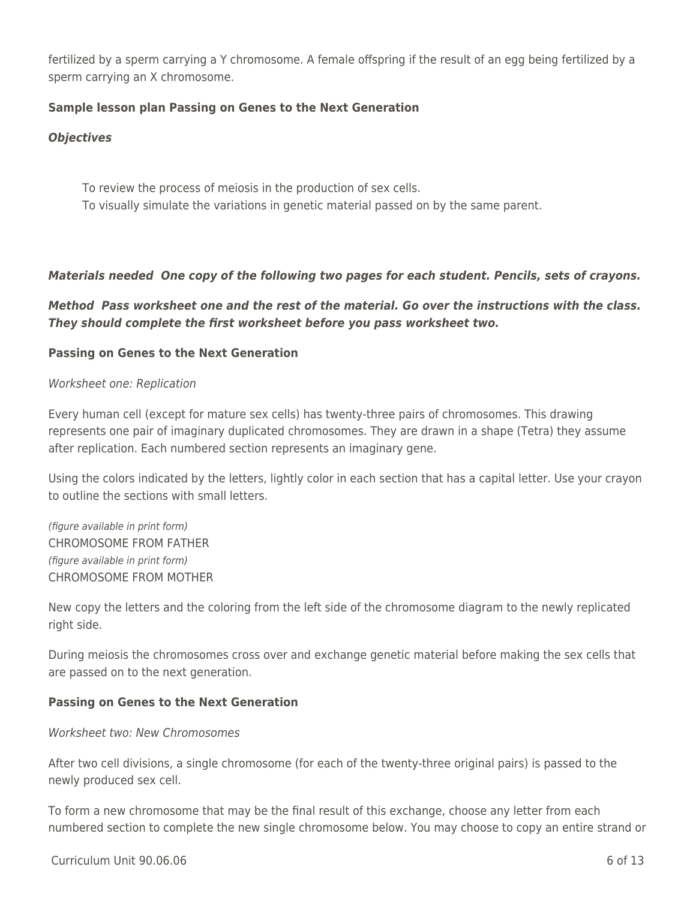fertilized by a sperm carrying a Y chromosome. A female offspring if the result of an egg being fertilized by a sperm carrying an X chromosome.

## **Sample lesson plan Passing on Genes to the Next Generation**

### *Objectives*

To review the process of meiosis in the production of sex cells. To visually simulate the variations in genetic material passed on by the same parent.

## *Materials needed One copy of the following two pages for each student. Pencils, sets of crayons.*

*Method Pass worksheet one and the rest of the material. Go over the instructions with the class. They should complete the first worksheet before you pass worksheet two.*

## **Passing on Genes to the Next Generation**

#### Worksheet one: Replication

Every human cell (except for mature sex cells) has twenty-three pairs of chromosomes. This drawing represents one pair of imaginary duplicated chromosomes. They are drawn in a shape (Tetra) they assume after replication. Each numbered section represents an imaginary gene.

Using the colors indicated by the letters, lightly color in each section that has a capital letter. Use your crayon to outline the sections with small letters.

(figure available in print form) CHROMOSOME FROM FATHER (figure available in print form) CHROMOSOME FROM MOTHER

New copy the letters and the coloring from the left side of the chromosome diagram to the newly replicated right side.

During meiosis the chromosomes cross over and exchange genetic material before making the sex cells that are passed on to the next generation.

## **Passing on Genes to the Next Generation**

#### Worksheet two: New Chromosomes

After two cell divisions, a single chromosome (for each of the twenty-three original pairs) is passed to the newly produced sex cell.

To form a new chromosome that may be the final result of this exchange, choose any letter from each numbered section to complete the new single chromosome below. You may choose to copy an entire strand or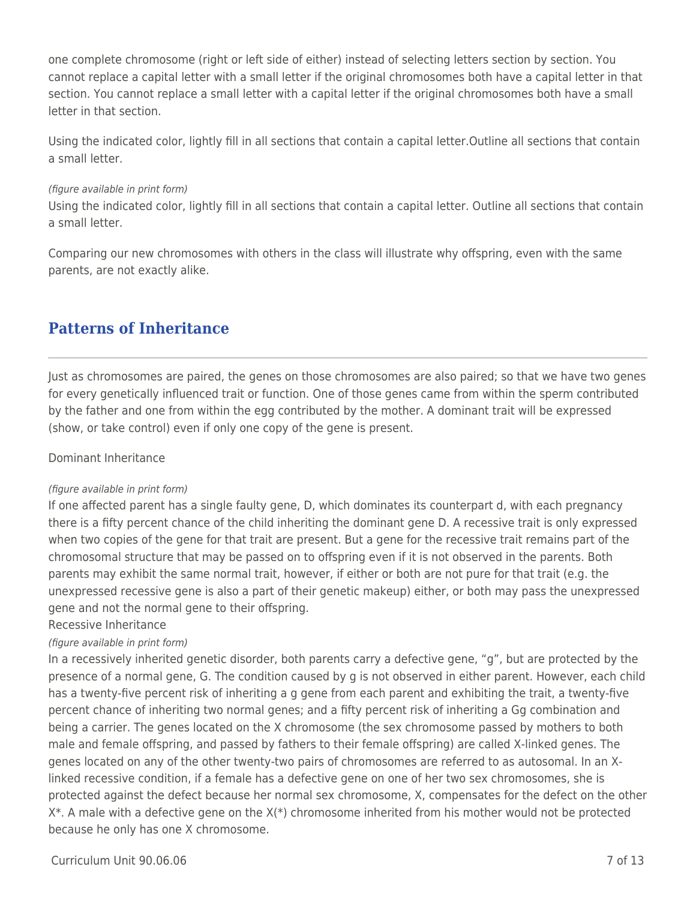one complete chromosome (right or left side of either) instead of selecting letters section by section. You cannot replace a capital letter with a small letter if the original chromosomes both have a capital letter in that section. You cannot replace a small letter with a capital letter if the original chromosomes both have a small letter in that section.

Using the indicated color, lightly fill in all sections that contain a capital letter.Outline all sections that contain a small letter.

#### (figure available in print form)

Using the indicated color, lightly fill in all sections that contain a capital letter. Outline all sections that contain a small letter.

Comparing our new chromosomes with others in the class will illustrate why offspring, even with the same parents, are not exactly alike.

## **Patterns of Inheritance**

Just as chromosomes are paired, the genes on those chromosomes are also paired; so that we have two genes for every genetically influenced trait or function. One of those genes came from within the sperm contributed by the father and one from within the egg contributed by the mother. A dominant trait will be expressed (show, or take control) even if only one copy of the gene is present.

#### Dominant Inheritance

#### (figure available in print form)

If one affected parent has a single faulty gene, D, which dominates its counterpart d, with each pregnancy there is a fifty percent chance of the child inheriting the dominant gene D. A recessive trait is only expressed when two copies of the gene for that trait are present. But a gene for the recessive trait remains part of the chromosomal structure that may be passed on to offspring even if it is not observed in the parents. Both parents may exhibit the same normal trait, however, if either or both are not pure for that trait (e.g. the unexpressed recessive gene is also a part of their genetic makeup) either, or both may pass the unexpressed gene and not the normal gene to their offspring.

#### Recessive Inheritance

#### (figure available in print form)

In a recessively inherited genetic disorder, both parents carry a defective gene, "g", but are protected by the presence of a normal gene, G. The condition caused by g is not observed in either parent. However, each child has a twenty-five percent risk of inheriting a g gene from each parent and exhibiting the trait, a twenty-five percent chance of inheriting two normal genes; and a fifty percent risk of inheriting a Gg combination and being a carrier. The genes located on the X chromosome (the sex chromosome passed by mothers to both male and female offspring, and passed by fathers to their female offspring) are called X-linked genes. The genes located on any of the other twenty-two pairs of chromosomes are referred to as autosomal. In an Xlinked recessive condition, if a female has a defective gene on one of her two sex chromosomes, she is protected against the defect because her normal sex chromosome, X, compensates for the defect on the other  $X^*$ . A male with a defective gene on the  $X(*)$  chromosome inherited from his mother would not be protected because he only has one X chromosome.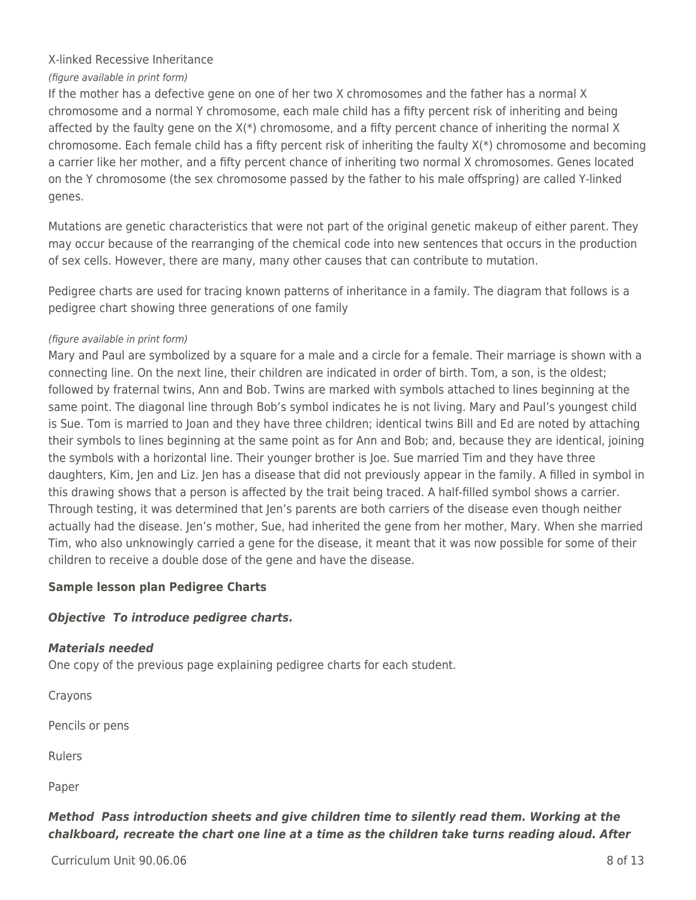## X-linked Recessive Inheritance

## (figure available in print form)

If the mother has a defective gene on one of her two X chromosomes and the father has a normal X chromosome and a normal Y chromosome, each male child has a fifty percent risk of inheriting and being affected by the faulty gene on the X(\*) chromosome, and a fifty percent chance of inheriting the normal X chromosome. Each female child has a fifty percent risk of inheriting the faulty X(\*) chromosome and becoming a carrier like her mother, and a fifty percent chance of inheriting two normal X chromosomes. Genes located on the Y chromosome (the sex chromosome passed by the father to his male offspring) are called Y-linked genes.

Mutations are genetic characteristics that were not part of the original genetic makeup of either parent. They may occur because of the rearranging of the chemical code into new sentences that occurs in the production of sex cells. However, there are many, many other causes that can contribute to mutation.

Pedigree charts are used for tracing known patterns of inheritance in a family. The diagram that follows is a pedigree chart showing three generations of one family

#### (figure available in print form)

Mary and Paul are symbolized by a square for a male and a circle for a female. Their marriage is shown with a connecting line. On the next line, their children are indicated in order of birth. Tom, a son, is the oldest; followed by fraternal twins, Ann and Bob. Twins are marked with symbols attached to lines beginning at the same point. The diagonal line through Bob's symbol indicates he is not living. Mary and Paul's youngest child is Sue. Tom is married to Joan and they have three children; identical twins Bill and Ed are noted by attaching their symbols to lines beginning at the same point as for Ann and Bob; and, because they are identical, joining the symbols with a horizontal line. Their younger brother is Joe. Sue married Tim and they have three daughters, Kim, Jen and Liz. Jen has a disease that did not previously appear in the family. A filled in symbol in this drawing shows that a person is affected by the trait being traced. A half-filled symbol shows a carrier. Through testing, it was determined that Jen's parents are both carriers of the disease even though neither actually had the disease. Jen's mother, Sue, had inherited the gene from her mother, Mary. When she married Tim, who also unknowingly carried a gene for the disease, it meant that it was now possible for some of their children to receive a double dose of the gene and have the disease.

## **Sample lesson plan Pedigree Charts**

## *Objective To introduce pedigree charts.*

## *Materials needed*

One copy of the previous page explaining pedigree charts for each student.

Crayons

Pencils or pens

Rulers

Paper

## *Method Pass introduction sheets and give children time to silently read them. Working at the chalkboard, recreate the chart one line at a time as the children take turns reading aloud. After*

 $C$ urriculum Unit 90.06.06  $\overline{8}$  of 13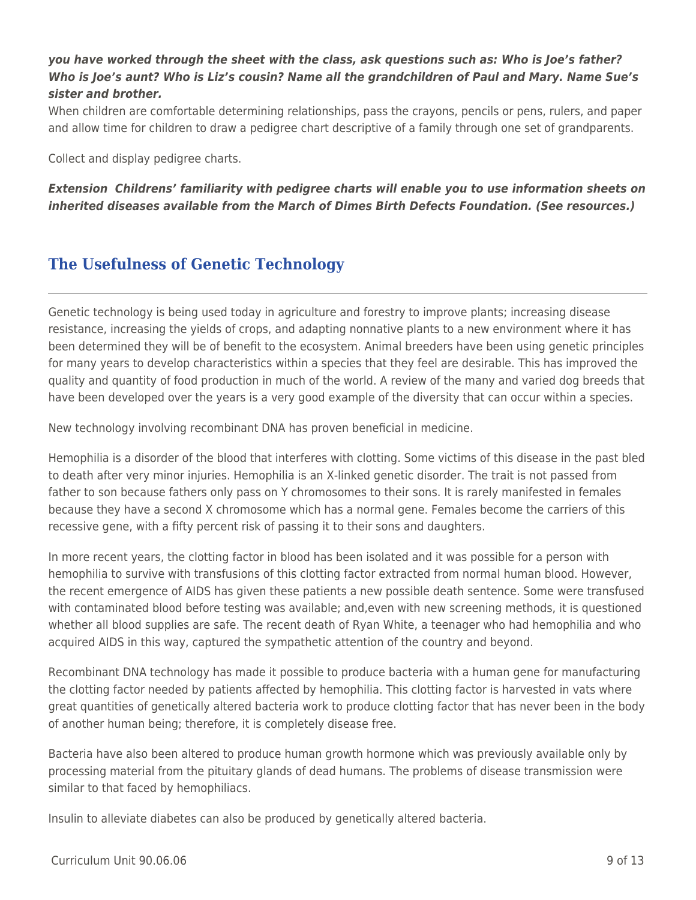## *you have worked through the sheet with the class, ask questions such as: Who is Joe's father? Who is Joe's aunt? Who is Liz's cousin? Name all the grandchildren of Paul and Mary. Name Sue's sister and brother.*

When children are comfortable determining relationships, pass the crayons, pencils or pens, rulers, and paper and allow time for children to draw a pedigree chart descriptive of a family through one set of grandparents.

Collect and display pedigree charts.

*Extension Childrens' familiarity with pedigree charts will enable you to use information sheets on inherited diseases available from the March of Dimes Birth Defects Foundation. (See resources.)*

## **The Usefulness of Genetic Technology**

Genetic technology is being used today in agriculture and forestry to improve plants; increasing disease resistance, increasing the yields of crops, and adapting nonnative plants to a new environment where it has been determined they will be of benefit to the ecosystem. Animal breeders have been using genetic principles for many years to develop characteristics within a species that they feel are desirable. This has improved the quality and quantity of food production in much of the world. A review of the many and varied dog breeds that have been developed over the years is a very good example of the diversity that can occur within a species.

New technology involving recombinant DNA has proven beneficial in medicine.

Hemophilia is a disorder of the blood that interferes with clotting. Some victims of this disease in the past bled to death after very minor injuries. Hemophilia is an X-linked genetic disorder. The trait is not passed from father to son because fathers only pass on Y chromosomes to their sons. It is rarely manifested in females because they have a second X chromosome which has a normal gene. Females become the carriers of this recessive gene, with a fifty percent risk of passing it to their sons and daughters.

In more recent years, the clotting factor in blood has been isolated and it was possible for a person with hemophilia to survive with transfusions of this clotting factor extracted from normal human blood. However, the recent emergence of AIDS has given these patients a new possible death sentence. Some were transfused with contaminated blood before testing was available; and,even with new screening methods, it is questioned whether all blood supplies are safe. The recent death of Ryan White, a teenager who had hemophilia and who acquired AIDS in this way, captured the sympathetic attention of the country and beyond.

Recombinant DNA technology has made it possible to produce bacteria with a human gene for manufacturing the clotting factor needed by patients affected by hemophilia. This clotting factor is harvested in vats where great quantities of genetically altered bacteria work to produce clotting factor that has never been in the body of another human being; therefore, it is completely disease free.

Bacteria have also been altered to produce human growth hormone which was previously available only by processing material from the pituitary glands of dead humans. The problems of disease transmission were similar to that faced by hemophiliacs.

Insulin to alleviate diabetes can also be produced by genetically altered bacteria.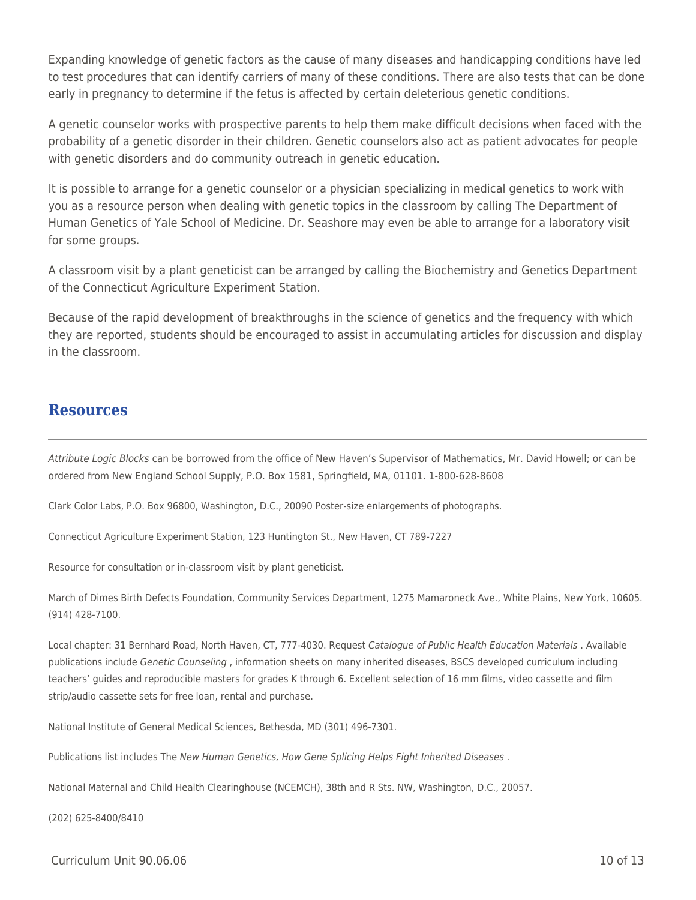Expanding knowledge of genetic factors as the cause of many diseases and handicapping conditions have led to test procedures that can identify carriers of many of these conditions. There are also tests that can be done early in pregnancy to determine if the fetus is affected by certain deleterious genetic conditions.

A genetic counselor works with prospective parents to help them make difficult decisions when faced with the probability of a genetic disorder in their children. Genetic counselors also act as patient advocates for people with genetic disorders and do community outreach in genetic education.

It is possible to arrange for a genetic counselor or a physician specializing in medical genetics to work with you as a resource person when dealing with genetic topics in the classroom by calling The Department of Human Genetics of Yale School of Medicine. Dr. Seashore may even be able to arrange for a laboratory visit for some groups.

A classroom visit by a plant geneticist can be arranged by calling the Biochemistry and Genetics Department of the Connecticut Agriculture Experiment Station.

Because of the rapid development of breakthroughs in the science of genetics and the frequency with which they are reported, students should be encouraged to assist in accumulating articles for discussion and display in the classroom.

## **Resources**

Attribute Logic Blocks can be borrowed from the office of New Haven's Supervisor of Mathematics, Mr. David Howell; or can be ordered from New England School Supply, P.O. Box 1581, Springfield, MA, 01101. 1-800-628-8608

Clark Color Labs, P.O. Box 96800, Washington, D.C., 20090 Poster-size enlargements of photographs.

Connecticut Agriculture Experiment Station, 123 Huntington St., New Haven, CT 789-7227

Resource for consultation or in-classroom visit by plant geneticist.

March of Dimes Birth Defects Foundation, Community Services Department, 1275 Mamaroneck Ave., White Plains, New York, 10605. (914) 428-7100.

Local chapter: 31 Bernhard Road, North Haven, CT, 777-4030. Request Catalogue of Public Health Education Materials . Available publications include Genetic Counseling , information sheets on many inherited diseases, BSCS developed curriculum including teachers' guides and reproducible masters for grades K through 6. Excellent selection of 16 mm films, video cassette and film strip/audio cassette sets for free loan, rental and purchase.

National Institute of General Medical Sciences, Bethesda, MD (301) 496-7301.

Publications list includes The New Human Genetics, How Gene Splicing Helps Fight Inherited Diseases.

National Maternal and Child Health Clearinghouse (NCEMCH), 38th and R Sts. NW, Washington, D.C., 20057.

(202) 625-8400/8410

 $C$ urriculum Unit 90.06.06  $\qquad$  10 of 13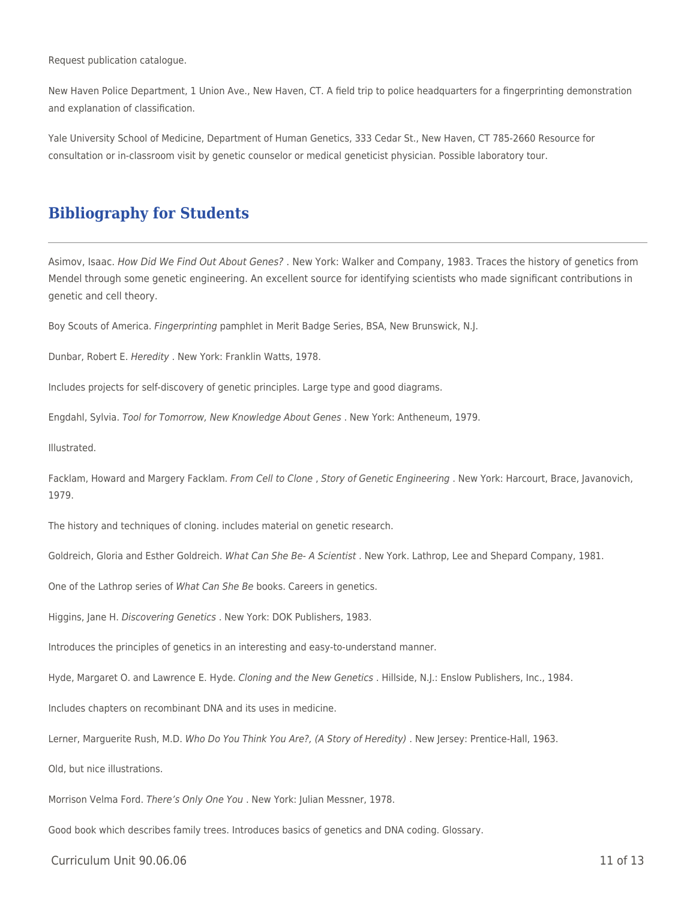Request publication catalogue.

New Haven Police Department, 1 Union Ave., New Haven, CT. A field trip to police headquarters for a fingerprinting demonstration and explanation of classification.

Yale University School of Medicine, Department of Human Genetics, 333 Cedar St., New Haven, CT 785-2660 Resource for consultation or in-classroom visit by genetic counselor or medical geneticist physician. Possible laboratory tour.

## **Bibliography for Students**

Asimov, Isaac. How Did We Find Out About Genes? . New York: Walker and Company, 1983. Traces the history of genetics from Mendel through some genetic engineering. An excellent source for identifying scientists who made significant contributions in genetic and cell theory.

Boy Scouts of America. Fingerprinting pamphlet in Merit Badge Series, BSA, New Brunswick, N.J.

Dunbar, Robert E. Heredity . New York: Franklin Watts, 1978.

Includes projects for self-discovery of genetic principles. Large type and good diagrams.

Engdahl, Sylvia. Tool for Tomorrow, New Knowledge About Genes . New York: Antheneum, 1979.

Illustrated.

Facklam, Howard and Margery Facklam. From Cell to Clone, Story of Genetic Engineering. New York: Harcourt, Brace, Javanovich, 1979.

The history and techniques of cloning. includes material on genetic research.

Goldreich, Gloria and Esther Goldreich. What Can She Be- A Scientist . New York. Lathrop, Lee and Shepard Company, 1981.

One of the Lathrop series of What Can She Be books. Careers in genetics.

Higgins, Jane H. Discovering Genetics . New York: DOK Publishers, 1983.

Introduces the principles of genetics in an interesting and easy-to-understand manner.

Hyde, Margaret O. and Lawrence E. Hyde. Cloning and the New Genetics . Hillside, N.J.: Enslow Publishers, Inc., 1984.

Includes chapters on recombinant DNA and its uses in medicine.

Lerner, Marguerite Rush, M.D. Who Do You Think You Are?, (A Story of Heredity). New Jersey: Prentice-Hall, 1963.

Old, but nice illustrations.

Morrison Velma Ford. There's Only One You . New York: Julian Messner, 1978.

Good book which describes family trees. Introduces basics of genetics and DNA coding. Glossary.

Curriculum Unit 90.06.06 11 of 13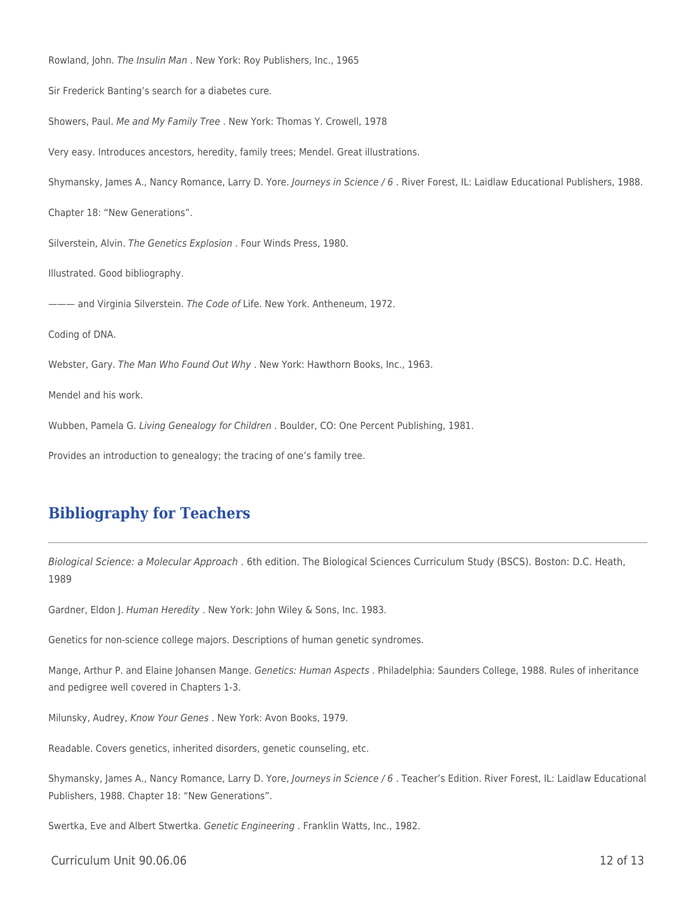Rowland, John. The Insulin Man . New York: Roy Publishers, Inc., 1965 Sir Frederick Banting's search for a diabetes cure. Showers, Paul. Me and My Family Tree . New York: Thomas Y. Crowell, 1978 Very easy. Introduces ancestors, heredity, family trees; Mendel. Great illustrations. Shymansky, James A., Nancy Romance, Larry D. Yore. Journeys in Science / 6 . River Forest, IL: Laidlaw Educational Publishers, 1988. Chapter 18: "New Generations". Silverstein, Alvin. The Genetics Explosion . Four Winds Press, 1980. Illustrated. Good bibliography. --- and Virginia Silverstein. The Code of Life. New York. Antheneum, 1972. Coding of DNA. Webster, Gary. The Man Who Found Out Why . New York: Hawthorn Books, Inc., 1963. Mendel and his work. Wubben, Pamela G. Living Genealogy for Children . Boulder, CO: One Percent Publishing, 1981. Provides an introduction to genealogy; the tracing of one's family tree.

## **Bibliography for Teachers**

Biological Science: a Molecular Approach . 6th edition. The Biological Sciences Curriculum Study (BSCS). Boston: D.C. Heath, 1989

Gardner, Eldon J. Human Heredity . New York: John Wiley & Sons, Inc. 1983.

Genetics for non-science college majors. Descriptions of human genetic syndromes.

Mange, Arthur P. and Elaine Johansen Mange. Genetics: Human Aspects . Philadelphia: Saunders College, 1988. Rules of inheritance and pedigree well covered in Chapters 1-3.

Milunsky, Audrey, Know Your Genes . New York: Avon Books, 1979.

Readable. Covers genetics, inherited disorders, genetic counseling, etc.

Shymansky, James A., Nancy Romance, Larry D. Yore, Journeys in Science / 6 . Teacher's Edition. River Forest, IL: Laidlaw Educational Publishers, 1988. Chapter 18: "New Generations".

Swertka, Eve and Albert Stwertka. Genetic Engineering . Franklin Watts, Inc., 1982.

Curriculum Unit 90.06.06 12 of 13